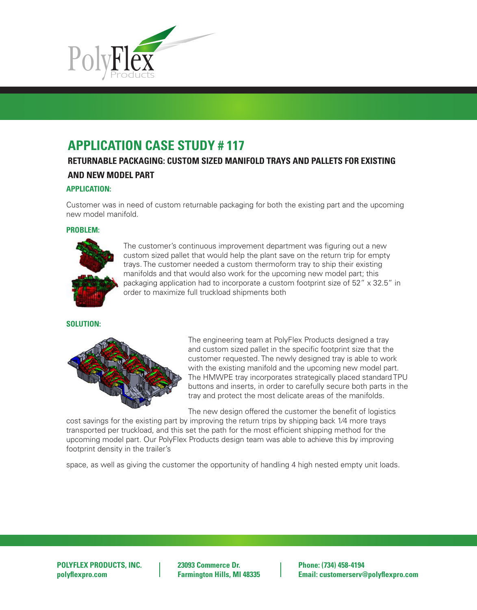

**Original file created:** 06/05/03 by H2o Design Services Group.

# **APPLICATION CASE STUDY # 117**

# RETURNABLE PACKAGING: CUSTOM SIZED MANIFOLD TRAYS AND PALLETS FOR EXISTING **AND NEW MODEL PART**

## **APPLICATION:**

Customer was in need of custom returnable packaging for both the existing part and the upcoming new model manifold.

#### **PROBLEM:**



The customer's continuous improvement department was figuring out a new custom sized pallet that would help the plant save on the return trip for empty trays. The customer needed a custom thermoform tray to ship their existing manifolds and that would also work for the upcoming new model part; this packaging application had to incorporate a custom footprint size of 52" x 32.5" in order to maximize full truckload shipments both

### **SOLUTION:**



The engineering team at PolyFlex Products designed a tray and custom sized pallet in the specific footprint size that the customer requested. The newly designed tray is able to work with the existing manifold and the upcoming new model part. The HMWPE tray incorporates strategically placed standard TPU buttons and inserts, in order to carefully secure both parts in the tray and protect the most delicate areas of the manifolds.

The new design offered the customer the benefit of logistics

cost savings for the existing part by improving the return trips by shipping back 1⁄4 more trays transported per truckload, and this set the path for the most efficient shipping method for the upcoming model part. Our PolyFlex Products design team was able to achieve this by improving footprint density in the trailer's

space, as well as giving the customer the opportunity of handling 4 high nested empty unit loads.

**POLYFLEX PRODUCTS, INC. 23093 Commerce Dr. Phone: (734) 458-4194**

**polyflexpro.com Farmington Hills, MI 48335 Email: customerserv@polyflexpro.com**